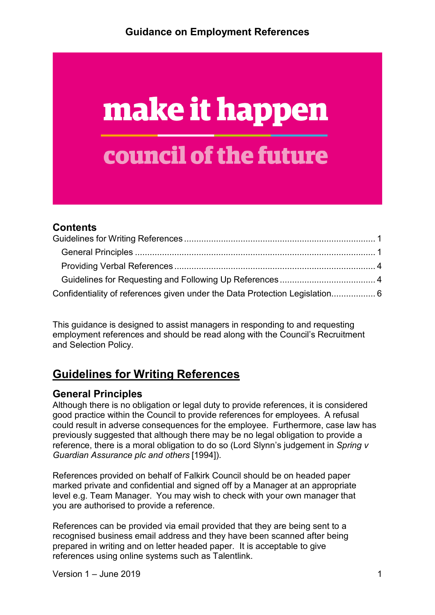# make it happen council of the future

#### **Contents**

| Confidentiality of references given under the Data Protection Legislation 6 |  |
|-----------------------------------------------------------------------------|--|

This guidance is designed to assist managers in responding to and requesting employment references and should be read along with the Council's Recruitment and Selection Policy.

# <span id="page-0-0"></span>**Guidelines for Writing References**

#### <span id="page-0-1"></span>**General Principles**

Although there is no obligation or legal duty to provide references, it is considered good practice within the Council to provide references for employees. A refusal could result in adverse consequences for the employee. Furthermore, case law has previously suggested that although there may be no legal obligation to provide a reference, there is a moral obligation to do so (Lord Slynn's judgement in *Spring v Guardian Assurance plc and others* [1994]).

References provided on behalf of Falkirk Council should be on headed paper marked private and confidential and signed off by a Manager at an appropriate level e.g. Team Manager. You may wish to check with your own manager that you are authorised to provide a reference.

References can be provided via email provided that they are being sent to a recognised business email address and they have been scanned after being prepared in writing and on letter headed paper. It is acceptable to give references using online systems such as Talentlink.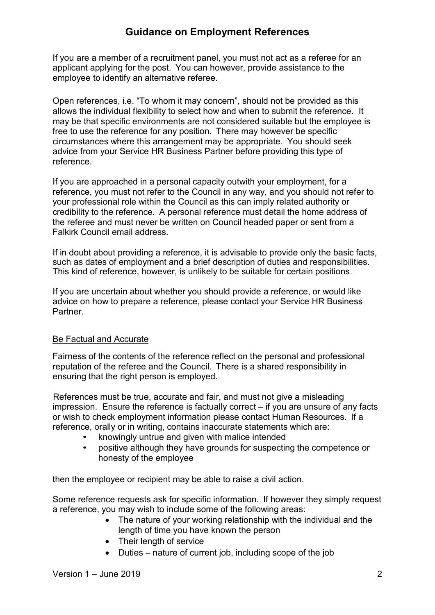If you are a member of a recruitment panel, you must not act as a referee for an applicant applying for the post. You can however, provide assistance to the employee to identify an alternative referee.

Open references, i.e. "To whom it may concern", should not be provided as this allows the individual flexibility to select how and when to submit the reference. It may be that specific environments are not considered suitable but the employee is free to use the reference for any position. There may however be specific circumstances where this arrangement may be appropriate. You should seek advice from your Service HR Business Partner before providing this type of reference.

If you are approached in a personal capacity outwith your employment, for a reference, you must not refer to the Council in any way, and you should not refer to your professional role within the Council as this can imply related authority or credibility to the reference. A personal reference must detail the home address of the referee and must never be written on Council headed paper or sent from a Falkirk Council email address.

If in doubt about providing a reference, it is advisable to provide only the basic facts, such as dates of employment and a brief description of duties and responsibilities. This kind of reference, however, is unlikely to be suitable for certain positions.

If you are uncertain about whether you should provide a reference, or would like advice on how to prepare a reference, please contact your Service HR Business Partner.

#### Be Factual and Accurate

Fairness of the contents of the reference reflect on the personal and professional reputation of the referee and the Council. There is a shared responsibility in ensuring that the right person is employed.

References must be true, accurate and fair, and must not give a misleading impression. Ensure the reference is factually correct – if you are unsure of any facts or wish to check employment information please contact Human Resources. If a reference, orally or in writing, contains inaccurate statements which are:

- knowingly untrue and given with malice intended
- positive although they have grounds for suspecting the competence or honesty of the employee

then the employee or recipient may be able to raise a civil action.

Some reference requests ask for specific information. If however they simply request a reference, you may wish to include some of the following areas:

- The nature of your working relationship with the individual and the length of time you have known the person
- Their length of service
- Duties nature of current job, including scope of the job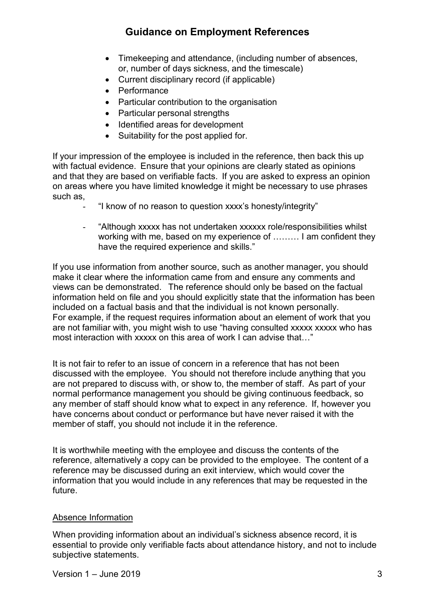- Timekeeping and attendance, (including number of absences, or, number of days sickness, and the timescale)
- Current disciplinary record (if applicable)
- Performance
- Particular contribution to the organisation
- Particular personal strengths
- Identified areas for development
- Suitability for the post applied for.

If your impression of the employee is included in the reference, then back this up with factual evidence. Ensure that your opinions are clearly stated as opinions and that they are based on verifiable facts. If you are asked to express an opinion on areas where you have limited knowledge it might be necessary to use phrases such as,

- "I know of no reason to question xxxx's honesty/integrity"
- "Although xxxxx has not undertaken xxxxxx role/responsibilities whilst working with me, based on my experience of ……… I am confident they have the required experience and skills."

If you use information from another source, such as another manager, you should make it clear where the information came from and ensure any comments and views can be demonstrated. The reference should only be based on the factual information held on file and you should explicitly state that the information has been included on a factual basis and that the individual is not known personally. For example, if the request requires information about an element of work that you are not familiar with, you might wish to use "having consulted xxxxx xxxxx who has most interaction with xxxxx on this area of work I can advise that…"

It is not fair to refer to an issue of concern in a reference that has not been discussed with the employee. You should not therefore include anything that you are not prepared to discuss with, or show to, the member of staff. As part of your normal performance management you should be giving continuous feedback, so any member of staff should know what to expect in any reference. If, however you have concerns about conduct or performance but have never raised it with the member of staff, you should not include it in the reference.

It is worthwhile meeting with the employee and discuss the contents of the reference, alternatively a copy can be provided to the employee. The content of a reference may be discussed during an exit interview, which would cover the information that you would include in any references that may be requested in the future.

#### Absence Information

When providing information about an individual's sickness absence record, it is essential to provide only verifiable facts about attendance history, and not to include subjective statements.

 $Version 1 - June 2019$   $3$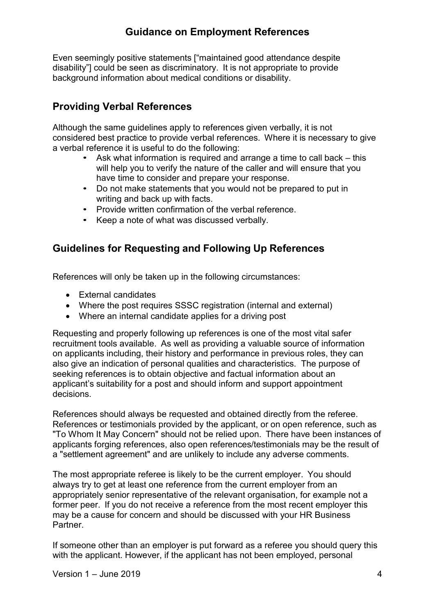Even seemingly positive statements ["maintained good attendance despite disability"] could be seen as discriminatory. It is not appropriate to provide background information about medical conditions or disability.

#### <span id="page-3-0"></span>**Providing Verbal References**

Although the same guidelines apply to references given verbally, it is not considered best practice to provide verbal references. Where it is necessary to give a verbal reference it is useful to do the following:

- Ask what information is required and arrange a time to call back this will help you to verify the nature of the caller and will ensure that you have time to consider and prepare your response.
- Do not make statements that you would not be prepared to put in writing and back up with facts.
- Provide written confirmation of the verbal reference.
- Keep a note of what was discussed verbally.

#### <span id="page-3-1"></span>**Guidelines for Requesting and Following Up References**

References will only be taken up in the following circumstances:

- External candidates
- Where the post requires SSSC registration (internal and external)
- Where an internal candidate applies for a driving post

Requesting and properly following up references is one of the most vital safer recruitment tools available. As well as providing a valuable source of information on applicants including, their history and performance in previous roles, they can also give an indication of personal qualities and characteristics. The purpose of seeking references is to obtain objective and factual information about an applicant's suitability for a post and should inform and support appointment decisions.

References should always be requested and obtained directly from the referee. References or testimonials provided by the applicant, or on open reference, such as "To Whom It May Concern" should not be relied upon. There have been instances of applicants forging references, also open references/testimonials may be the result of a "settlement agreement" and are unlikely to include any adverse comments.

The most appropriate referee is likely to be the current employer. You should always try to get at least one reference from the current employer from an appropriately senior representative of the relevant organisation, for example not a former peer. If you do not receive a reference from the most recent employer this may be a cause for concern and should be discussed with your HR Business **Partner** 

If someone other than an employer is put forward as a referee you should query this with the applicant. However, if the applicant has not been employed, personal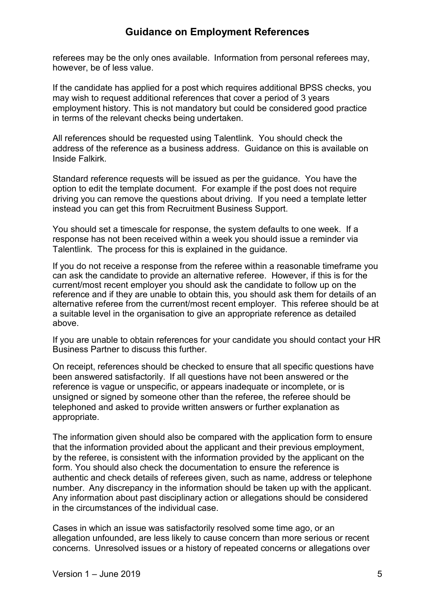referees may be the only ones available. Information from personal referees may, however, be of less value.

If the candidate has applied for a post which requires additional BPSS checks, you may wish to request additional references that cover a period of 3 years employment history. This is not mandatory but could be considered good practice in terms of the relevant checks being undertaken.

All references should be requested using Talentlink. You should check the address of the reference as a business address. Guidance on this is available on Inside Falkirk.

Standard reference requests will be issued as per the guidance. You have the option to edit the template document. For example if the post does not require driving you can remove the questions about driving. If you need a template letter instead you can get this from Recruitment Business Support.

You should set a timescale for response, the system defaults to one week. If a response has not been received within a week you should issue a reminder via Talentlink. The process for this is explained in the guidance.

If you do not receive a response from the referee within a reasonable timeframe you can ask the candidate to provide an alternative referee. However, if this is for the current/most recent employer you should ask the candidate to follow up on the reference and if they are unable to obtain this, you should ask them for details of an alternative referee from the current/most recent employer. This referee should be at a suitable level in the organisation to give an appropriate reference as detailed above.

If you are unable to obtain references for your candidate you should contact your HR Business Partner to discuss this further.

On receipt, references should be checked to ensure that all specific questions have been answered satisfactorily. If all questions have not been answered or the reference is vague or unspecific, or appears inadequate or incomplete, or is unsigned or signed by someone other than the referee, the referee should be telephoned and asked to provide written answers or further explanation as appropriate.

The information given should also be compared with the application form to ensure that the information provided about the applicant and their previous employment, by the referee, is consistent with the information provided by the applicant on the form. You should also check the documentation to ensure the reference is authentic and check details of referees given, such as name, address or telephone number. Any discrepancy in the information should be taken up with the applicant. Any information about past disciplinary action or allegations should be considered in the circumstances of the individual case.

Cases in which an issue was satisfactorily resolved some time ago, or an allegation unfounded, are less likely to cause concern than more serious or recent concerns. Unresolved issues or a history of repeated concerns or allegations over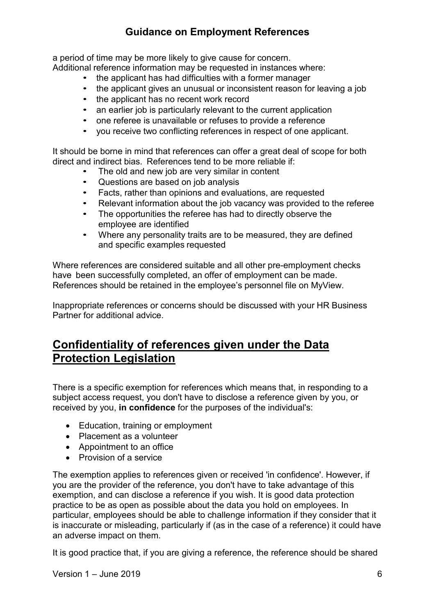a period of time may be more likely to give cause for concern.

Additional reference information may be requested in instances where:

- the applicant has had difficulties with a former manager
- the applicant gives an unusual or inconsistent reason for leaving a job
- the applicant has no recent work record
- an earlier job is particularly relevant to the current application
- one referee is unavailable or refuses to provide a reference
- you receive two conflicting references in respect of one applicant.

It should be borne in mind that references can offer a great deal of scope for both direct and indirect bias. References tend to be more reliable if:

- The old and new job are very similar in content
- Questions are based on job analysis
- Facts, rather than opinions and evaluations, are requested
- Relevant information about the job vacancy was provided to the referee
- The opportunities the referee has had to directly observe the employee are identified
- Where any personality traits are to be measured, they are defined and specific examples requested

Where references are considered suitable and all other pre-employment checks have been successfully completed, an offer of employment can be made. References should be retained in the employee's personnel file on MyView.

Inappropriate references or concerns should be discussed with your HR Business Partner for additional advice.

## <span id="page-5-0"></span>**Confidentiality of references given under the Data Protection Legislation**

There is a specific exemption for references which means that, in responding to a subject access request, you don't have to disclose a reference given by you, or received by you, **in confidence** for the purposes of the individual's:

- Education, training or employment
- Placement as a volunteer
- Appointment to an office
- Provision of a service

The exemption applies to references given or received 'in confidence'. However, if you are the provider of the reference, you don't have to take advantage of this exemption, and can disclose a reference if you wish. It is good data protection practice to be as open as possible about the data you hold on employees. In particular, employees should be able to challenge information if they consider that it is inaccurate or misleading, particularly if (as in the case of a reference) it could have an adverse impact on them.

It is good practice that, if you are giving a reference, the reference should be shared